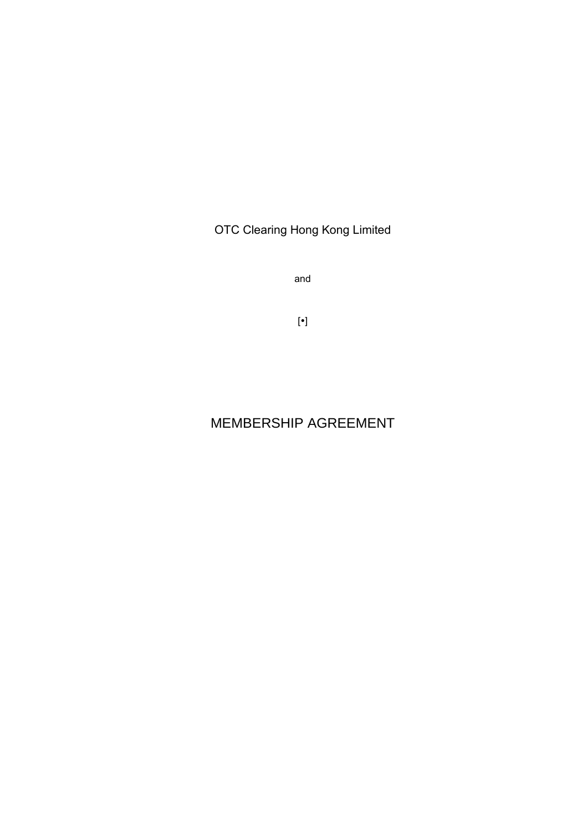OTC Clearing Hong Kong Limited

and

 $[\bullet]$ 

# MEMBERSHIP AGREEMENT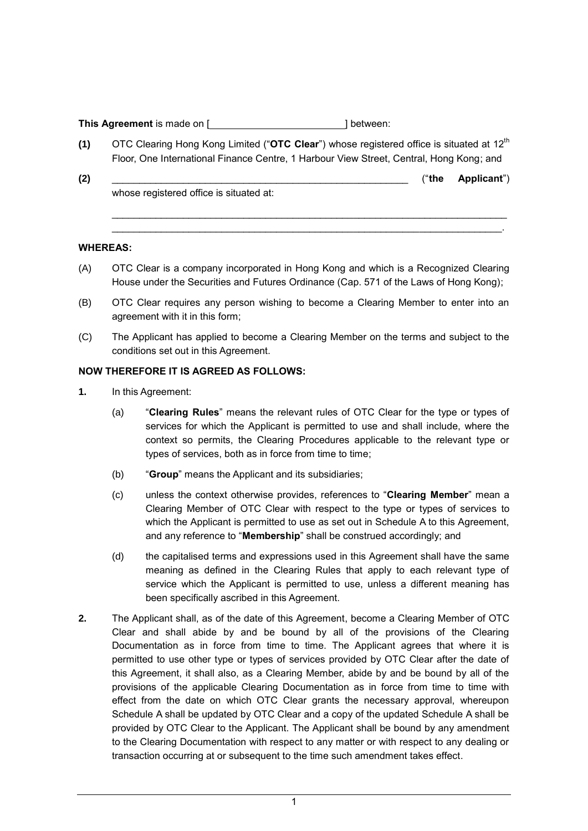**This Agreement** is made on [*]* **[ ] between:** 

- **(1)** OTC Clearing Hong Kong Limited ("**OTC Clear**") whose registered office is situated at 12th Floor, One International Finance Centre, 1 Harbour View Street, Central, Hong Kong; and
- **(2)** \_\_\_\_\_\_\_\_\_\_\_\_\_\_\_\_\_\_\_\_\_\_\_\_\_\_\_\_\_\_\_\_\_\_\_\_\_\_\_\_\_\_\_\_\_\_\_\_\_\_\_\_\_\_ ("**the Applicant**") whose registered office is situated at:

 $\mathcal{L}_\text{max}$  , and the set of the set of the set of the set of the set of the set of the set of the set of the set of the set of the set of the set of the set of the set of the set of the set of the set of the set of the \_\_\_\_\_\_\_\_\_\_\_\_\_\_\_\_\_\_\_\_\_\_\_\_\_\_\_\_\_\_\_\_\_\_\_\_\_\_\_\_\_\_\_\_\_\_\_\_\_\_\_\_\_\_\_\_\_\_\_\_\_\_\_\_\_\_\_\_\_\_\_.

#### **WHEREAS:**

- (A) OTC Clear is a company incorporated in Hong Kong and which is a Recognized Clearing House under the Securities and Futures Ordinance (Cap. 571 of the Laws of Hong Kong);
- (B) OTC Clear requires any person wishing to become a Clearing Member to enter into an agreement with it in this form;
- (C) The Applicant has applied to become a Clearing Member on the terms and subject to the conditions set out in this Agreement.

#### **NOW THEREFORE IT IS AGREED AS FOLLOWS:**

- **1.** In this Agreement:
	- (a) "**Clearing Rules**" means the relevant rules of OTC Clear for the type or types of services for which the Applicant is permitted to use and shall include, where the context so permits, the Clearing Procedures applicable to the relevant type or types of services, both as in force from time to time;
	- (b) "**Group**" means the Applicant and its subsidiaries;
	- (c) unless the context otherwise provides, references to "**Clearing Member**" mean a Clearing Member of OTC Clear with respect to the type or types of services to which the Applicant is permitted to use as set out in Schedule A to this Agreement, and any reference to "**Membership**" shall be construed accordingly; and
	- (d) the capitalised terms and expressions used in this Agreement shall have the same meaning as defined in the Clearing Rules that apply to each relevant type of service which the Applicant is permitted to use, unless a different meaning has been specifically ascribed in this Agreement.
- **2.** The Applicant shall, as of the date of this Agreement, become a Clearing Member of OTC Clear and shall abide by and be bound by all of the provisions of the Clearing Documentation as in force from time to time. The Applicant agrees that where it is permitted to use other type or types of services provided by OTC Clear after the date of this Agreement, it shall also, as a Clearing Member, abide by and be bound by all of the provisions of the applicable Clearing Documentation as in force from time to time with effect from the date on which OTC Clear grants the necessary approval, whereupon Schedule A shall be updated by OTC Clear and a copy of the updated Schedule A shall be provided by OTC Clear to the Applicant. The Applicant shall be bound by any amendment to the Clearing Documentation with respect to any matter or with respect to any dealing or transaction occurring at or subsequent to the time such amendment takes effect.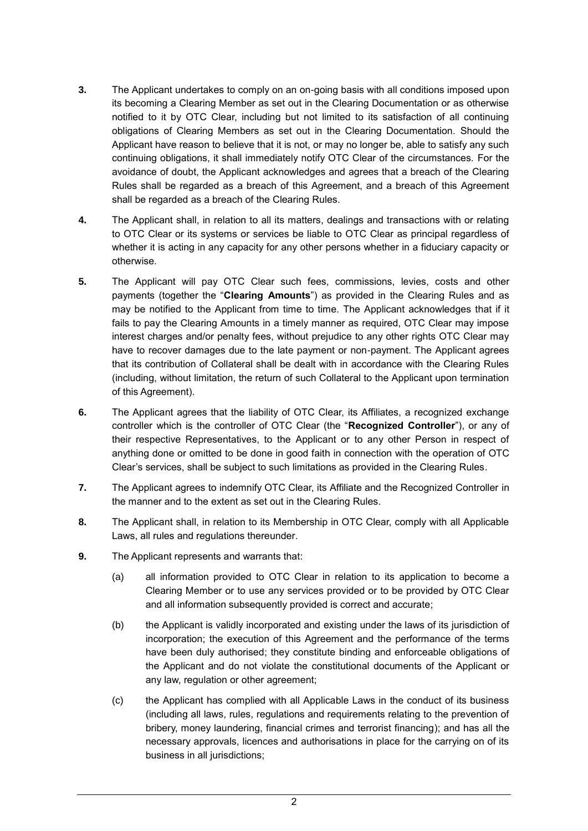- **3.** The Applicant undertakes to comply on an on-going basis with all conditions imposed upon its becoming a Clearing Member as set out in the Clearing Documentation or as otherwise notified to it by OTC Clear, including but not limited to its satisfaction of all continuing obligations of Clearing Members as set out in the Clearing Documentation. Should the Applicant have reason to believe that it is not, or may no longer be, able to satisfy any such continuing obligations, it shall immediately notify OTC Clear of the circumstances. For the avoidance of doubt, the Applicant acknowledges and agrees that a breach of the Clearing Rules shall be regarded as a breach of this Agreement, and a breach of this Agreement shall be regarded as a breach of the Clearing Rules.
- **4.** The Applicant shall, in relation to all its matters, dealings and transactions with or relating to OTC Clear or its systems or services be liable to OTC Clear as principal regardless of whether it is acting in any capacity for any other persons whether in a fiduciary capacity or otherwise.
- **5.** The Applicant will pay OTC Clear such fees, commissions, levies, costs and other payments (together the "**Clearing Amounts**") as provided in the Clearing Rules and as may be notified to the Applicant from time to time. The Applicant acknowledges that if it fails to pay the Clearing Amounts in a timely manner as required, OTC Clear may impose interest charges and/or penalty fees, without prejudice to any other rights OTC Clear may have to recover damages due to the late payment or non-payment. The Applicant agrees that its contribution of Collateral shall be dealt with in accordance with the Clearing Rules (including, without limitation, the return of such Collateral to the Applicant upon termination of this Agreement).
- **6.** The Applicant agrees that the liability of OTC Clear, its Affiliates, a recognized exchange controller which is the controller of OTC Clear (the "**Recognized Controller**"), or any of their respective Representatives, to the Applicant or to any other Person in respect of anything done or omitted to be done in good faith in connection with the operation of OTC Clear's services, shall be subject to such limitations as provided in the Clearing Rules.
- **7.** The Applicant agrees to indemnify OTC Clear, its Affiliate and the Recognized Controller in the manner and to the extent as set out in the Clearing Rules.
- **8.** The Applicant shall, in relation to its Membership in OTC Clear, comply with all Applicable Laws, all rules and regulations thereunder.
- **9.** The Applicant represents and warrants that:
	- (a) all information provided to OTC Clear in relation to its application to become a Clearing Member or to use any services provided or to be provided by OTC Clear and all information subsequently provided is correct and accurate;
	- (b) the Applicant is validly incorporated and existing under the laws of its jurisdiction of incorporation; the execution of this Agreement and the performance of the terms have been duly authorised; they constitute binding and enforceable obligations of the Applicant and do not violate the constitutional documents of the Applicant or any law, regulation or other agreement;
	- (c) the Applicant has complied with all Applicable Laws in the conduct of its business (including all laws, rules, regulations and requirements relating to the prevention of bribery, money laundering, financial crimes and terrorist financing); and has all the necessary approvals, licences and authorisations in place for the carrying on of its business in all jurisdictions;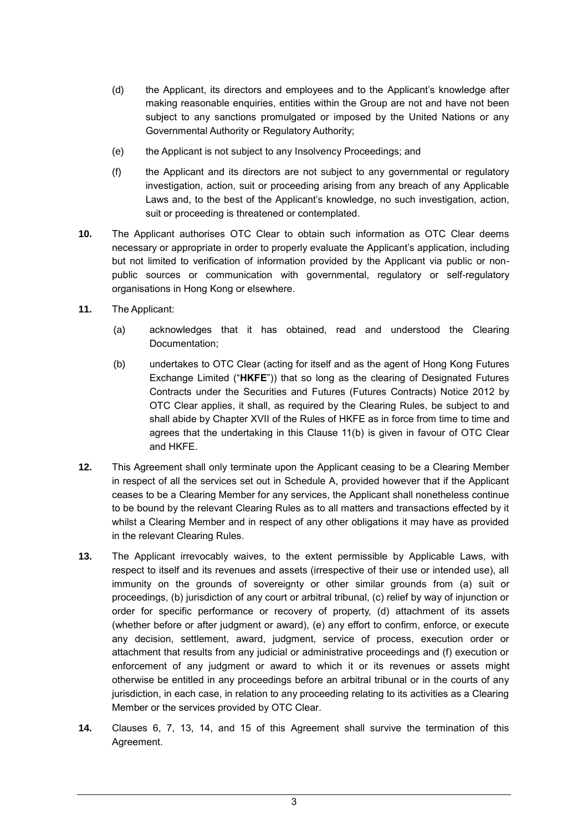- (d) the Applicant, its directors and employees and to the Applicant's knowledge after making reasonable enquiries, entities within the Group are not and have not been subject to any sanctions promulgated or imposed by the United Nations or any Governmental Authority or Regulatory Authority;
- (e) the Applicant is not subject to any Insolvency Proceedings; and
- (f) the Applicant and its directors are not subject to any governmental or regulatory investigation, action, suit or proceeding arising from any breach of any Applicable Laws and, to the best of the Applicant's knowledge, no such investigation, action, suit or proceeding is threatened or contemplated.
- **10.** The Applicant authorises OTC Clear to obtain such information as OTC Clear deems necessary or appropriate in order to properly evaluate the Applicant's application, including but not limited to verification of information provided by the Applicant via public or nonpublic sources or communication with governmental, regulatory or self-regulatory organisations in Hong Kong or elsewhere.
- **11.** The Applicant:
	- (a) acknowledges that it has obtained, read and understood the Clearing Documentation;
	- (b) undertakes to OTC Clear (acting for itself and as the agent of Hong Kong Futures Exchange Limited ("**HKFE**")) that so long as the clearing of Designated Futures Contracts under the Securities and Futures (Futures Contracts) Notice 2012 by OTC Clear applies, it shall, as required by the Clearing Rules, be subject to and shall abide by Chapter XVII of the Rules of HKFE as in force from time to time and agrees that the undertaking in this Clause 11(b) is given in favour of OTC Clear and HKFE.
- **12.** This Agreement shall only terminate upon the Applicant ceasing to be a Clearing Member in respect of all the services set out in Schedule A, provided however that if the Applicant ceases to be a Clearing Member for any services, the Applicant shall nonetheless continue to be bound by the relevant Clearing Rules as to all matters and transactions effected by it whilst a Clearing Member and in respect of any other obligations it may have as provided in the relevant Clearing Rules.
- **13.** The Applicant irrevocably waives, to the extent permissible by Applicable Laws, with respect to itself and its revenues and assets (irrespective of their use or intended use), all immunity on the grounds of sovereignty or other similar grounds from (a) suit or proceedings, (b) jurisdiction of any court or arbitral tribunal, (c) relief by way of injunction or order for specific performance or recovery of property, (d) attachment of its assets (whether before or after judgment or award), (e) any effort to confirm, enforce, or execute any decision, settlement, award, judgment, service of process, execution order or attachment that results from any judicial or administrative proceedings and (f) execution or enforcement of any judgment or award to which it or its revenues or assets might otherwise be entitled in any proceedings before an arbitral tribunal or in the courts of any jurisdiction, in each case, in relation to any proceeding relating to its activities as a Clearing Member or the services provided by OTC Clear.
- **14.** Clauses 6, 7, 13, 14, and 15 of this Agreement shall survive the termination of this Agreement.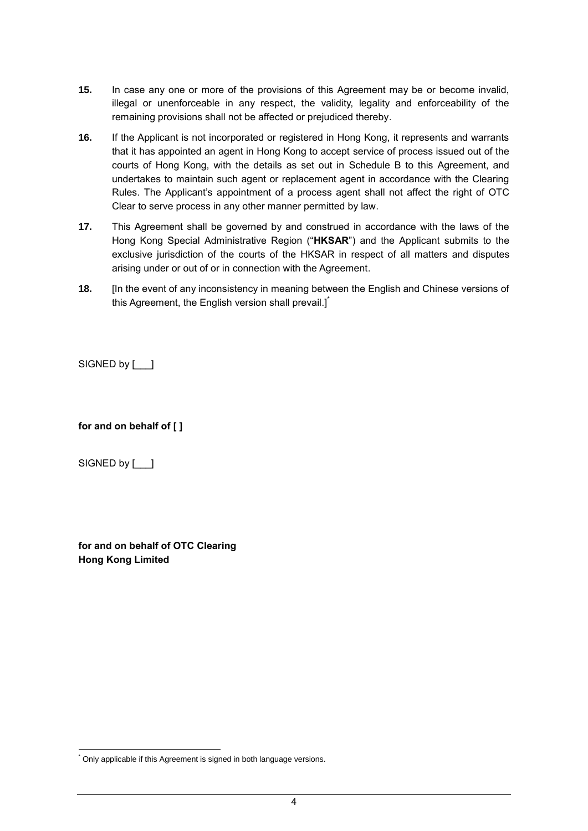- **15.** In case any one or more of the provisions of this Agreement may be or become invalid, illegal or unenforceable in any respect, the validity, legality and enforceability of the remaining provisions shall not be affected or prejudiced thereby.
- **16.** If the Applicant is not incorporated or registered in Hong Kong, it represents and warrants that it has appointed an agent in Hong Kong to accept service of process issued out of the courts of Hong Kong, with the details as set out in Schedule B to this Agreement, and undertakes to maintain such agent or replacement agent in accordance with the Clearing Rules. The Applicant's appointment of a process agent shall not affect the right of OTC Clear to serve process in any other manner permitted by law.
- **17.** This Agreement shall be governed by and construed in accordance with the laws of the Hong Kong Special Administrative Region ("**HKSAR**") and the Applicant submits to the exclusive jurisdiction of the courts of the HKSAR in respect of all matters and disputes arising under or out of or in connection with the Agreement.
- **18.** [In the event of any inconsistency in meaning between the English and Chinese versions of this Agreement, the English version shall prevail.]

SIGNED by [  $\vert$  ]

**for and on behalf of [ ]**

SIGNED by [  $\vert$  ]

-

**for and on behalf of OTC Clearing Hong Kong Limited**

<sup>\*</sup> Only applicable if this Agreement is signed in both language versions.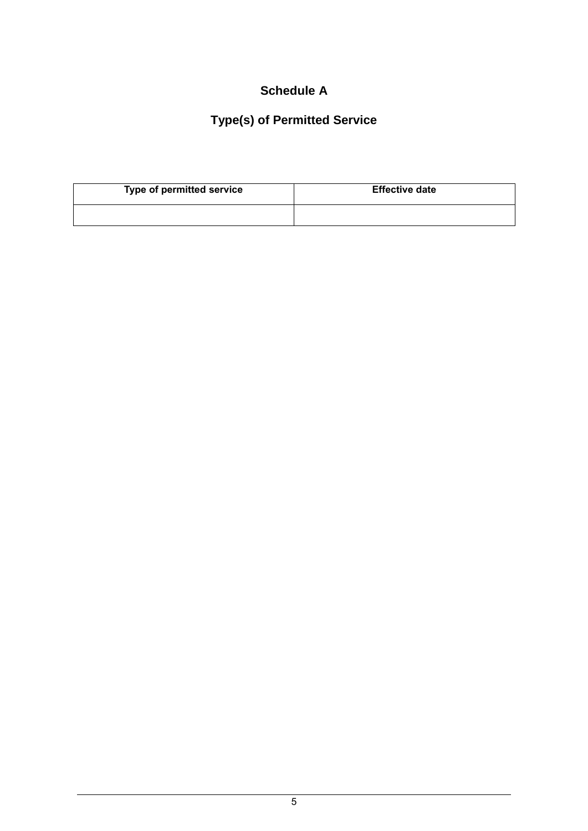### **Schedule A**

# **Type(s) of Permitted Service**

| Type of permitted service | <b>Effective date</b> |
|---------------------------|-----------------------|
|                           |                       |